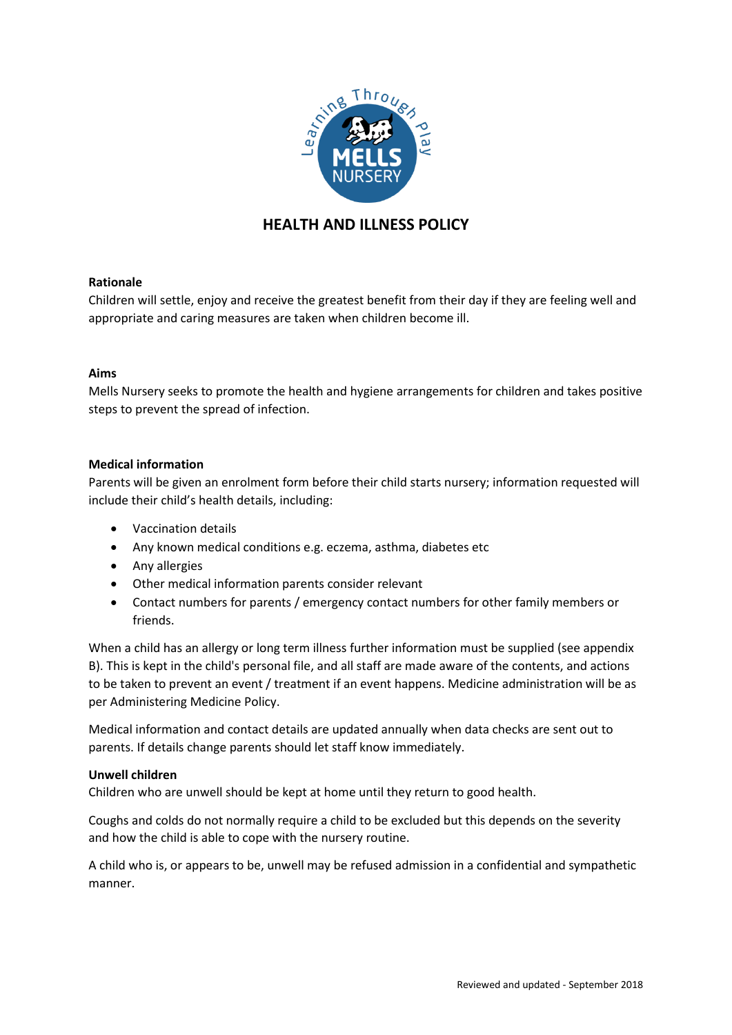

# **HEALTH AND ILLNESS POLICY**

# **Rationale**

Children will settle, enjoy and receive the greatest benefit from their day if they are feeling well and appropriate and caring measures are taken when children become ill.

### **Aims**

Mells Nursery seeks to promote the health and hygiene arrangements for children and takes positive steps to prevent the spread of infection.

# **Medical information**

Parents will be given an enrolment form before their child starts nursery; information requested will include their child's health details, including:

- Vaccination details
- Any known medical conditions e.g. eczema, asthma, diabetes etc
- Any allergies
- Other medical information parents consider relevant
- Contact numbers for parents / emergency contact numbers for other family members or friends.

When a child has an allergy or long term illness further information must be supplied (see appendix B). This is kept in the child's personal file, and all staff are made aware of the contents, and actions to be taken to prevent an event / treatment if an event happens. Medicine administration will be as per Administering Medicine Policy.

Medical information and contact details are updated annually when data checks are sent out to parents. If details change parents should let staff know immediately.

## **Unwell children**

Children who are unwell should be kept at home until they return to good health.

Coughs and colds do not normally require a child to be excluded but this depends on the severity and how the child is able to cope with the nursery routine.

A child who is, or appears to be, unwell may be refused admission in a confidential and sympathetic manner.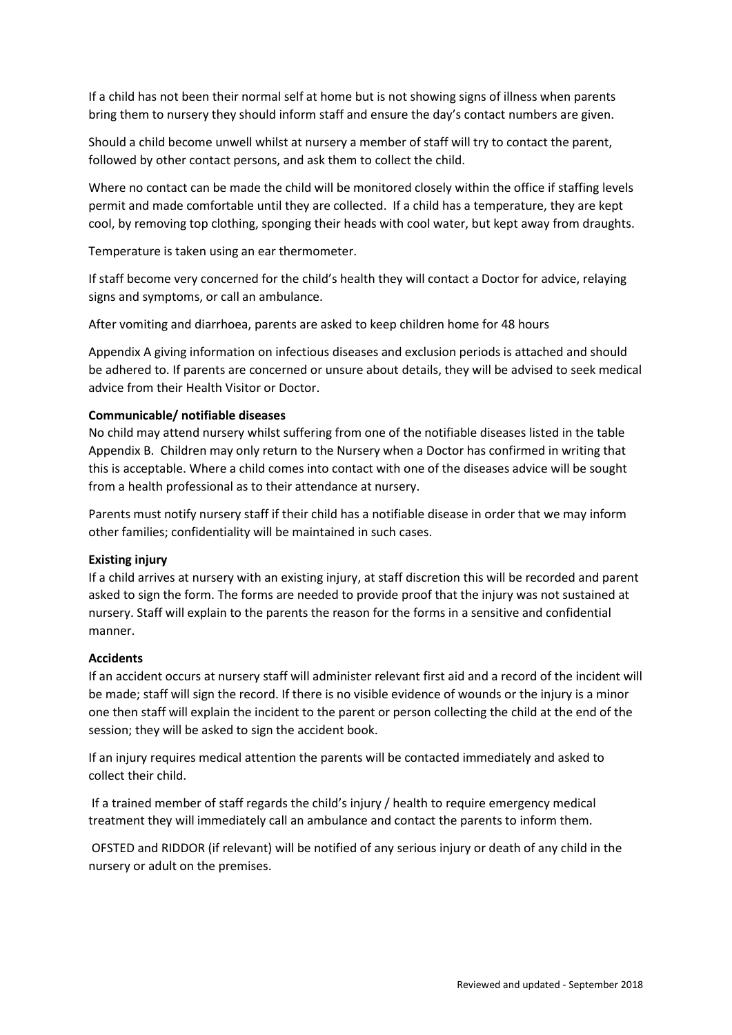If a child has not been their normal self at home but is not showing signs of illness when parents bring them to nursery they should inform staff and ensure the day's contact numbers are given.

Should a child become unwell whilst at nursery a member of staff will try to contact the parent, followed by other contact persons, and ask them to collect the child.

Where no contact can be made the child will be monitored closely within the office if staffing levels permit and made comfortable until they are collected. If a child has a temperature, they are kept cool, by removing top clothing, sponging their heads with cool water, but kept away from draughts.

Temperature is taken using an ear thermometer.

If staff become very concerned for the child's health they will contact a Doctor for advice, relaying signs and symptoms, or call an ambulance.

After vomiting and diarrhoea, parents are asked to keep children home for 48 hours

Appendix A giving information on infectious diseases and exclusion periods is attached and should be adhered to. If parents are concerned or unsure about details, they will be advised to seek medical advice from their Health Visitor or Doctor.

#### **Communicable/ notifiable diseases**

No child may attend nursery whilst suffering from one of the notifiable diseases listed in the table Appendix B. Children may only return to the Nursery when a Doctor has confirmed in writing that this is acceptable. Where a child comes into contact with one of the diseases advice will be sought from a health professional as to their attendance at nursery.

Parents must notify nursery staff if their child has a notifiable disease in order that we may inform other families; confidentiality will be maintained in such cases.

#### **Existing injury**

If a child arrives at nursery with an existing injury, at staff discretion this will be recorded and parent asked to sign the form. The forms are needed to provide proof that the injury was not sustained at nursery. Staff will explain to the parents the reason for the forms in a sensitive and confidential manner.

#### **Accidents**

If an accident occurs at nursery staff will administer relevant first aid and a record of the incident will be made; staff will sign the record. If there is no visible evidence of wounds or the injury is a minor one then staff will explain the incident to the parent or person collecting the child at the end of the session; they will be asked to sign the accident book.

If an injury requires medical attention the parents will be contacted immediately and asked to collect their child.

If a trained member of staff regards the child's injury / health to require emergency medical treatment they will immediately call an ambulance and contact the parents to inform them.

OFSTED and RIDDOR (if relevant) will be notified of any serious injury or death of any child in the nursery or adult on the premises.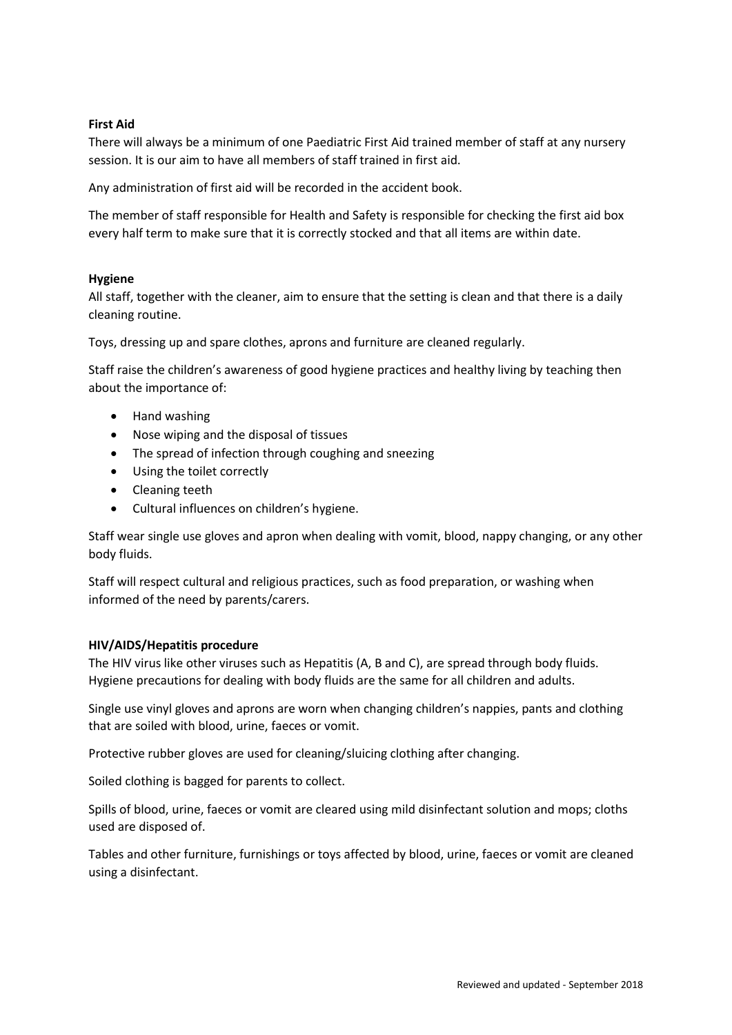# **First Aid**

There will always be a minimum of one Paediatric First Aid trained member of staff at any nursery session. It is our aim to have all members of staff trained in first aid.

Any administration of first aid will be recorded in the accident book.

The member of staff responsible for Health and Safety is responsible for checking the first aid box every half term to make sure that it is correctly stocked and that all items are within date.

### **Hygiene**

All staff, together with the cleaner, aim to ensure that the setting is clean and that there is a daily cleaning routine.

Toys, dressing up and spare clothes, aprons and furniture are cleaned regularly.

Staff raise the children's awareness of good hygiene practices and healthy living by teaching then about the importance of:

- Hand washing
- Nose wiping and the disposal of tissues
- The spread of infection through coughing and sneezing
- Using the toilet correctly
- Cleaning teeth
- Cultural influences on children's hygiene.

Staff wear single use gloves and apron when dealing with vomit, blood, nappy changing, or any other body fluids.

Staff will respect cultural and religious practices, such as food preparation, or washing when informed of the need by parents/carers.

### **HIV/AIDS/Hepatitis procedure**

The HIV virus like other viruses such as Hepatitis (A, B and C), are spread through body fluids. Hygiene precautions for dealing with body fluids are the same for all children and adults.

Single use vinyl gloves and aprons are worn when changing children's nappies, pants and clothing that are soiled with blood, urine, faeces or vomit.

Protective rubber gloves are used for cleaning/sluicing clothing after changing.

Soiled clothing is bagged for parents to collect.

Spills of blood, urine, faeces or vomit are cleared using mild disinfectant solution and mops; cloths used are disposed of.

Tables and other furniture, furnishings or toys affected by blood, urine, faeces or vomit are cleaned using a disinfectant.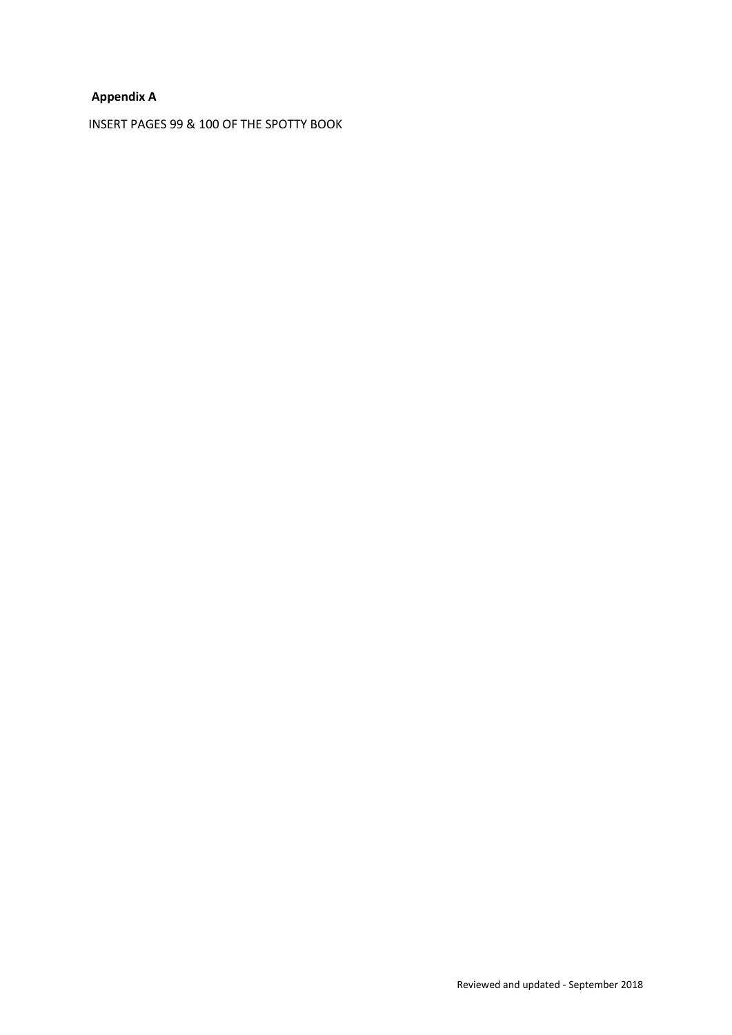# **Appendix A**

INSERT PAGES 99 & 100 OF THE SPOTTY BOOK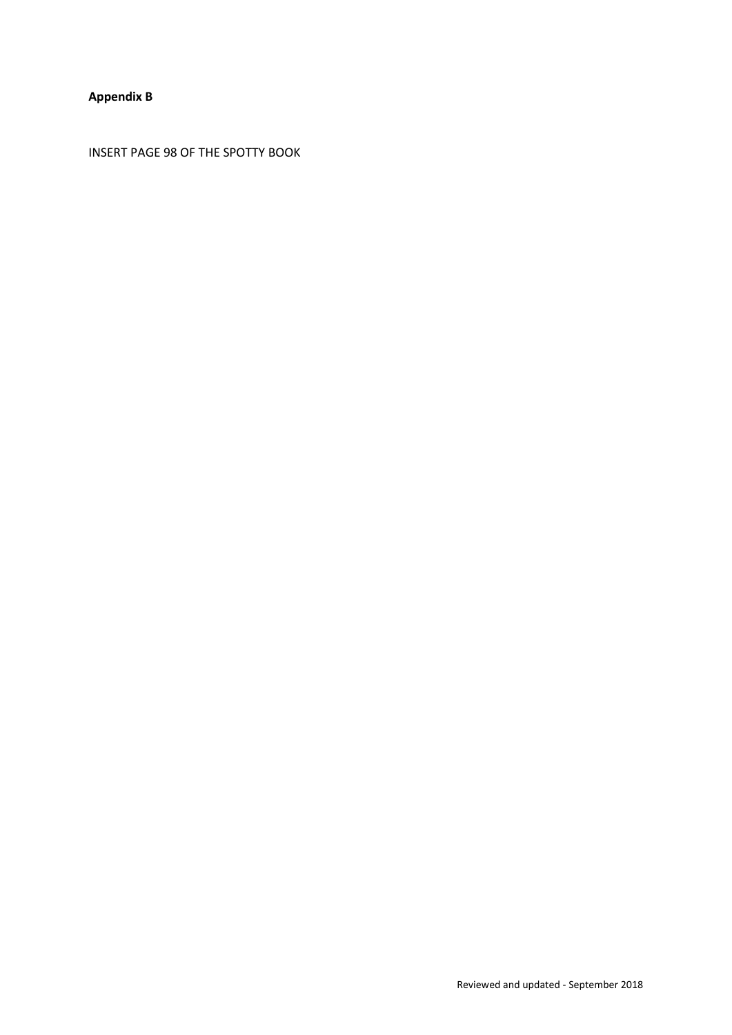# **Appendix B**

INSERT PAGE 98 OF THE SPOTTY BOOK